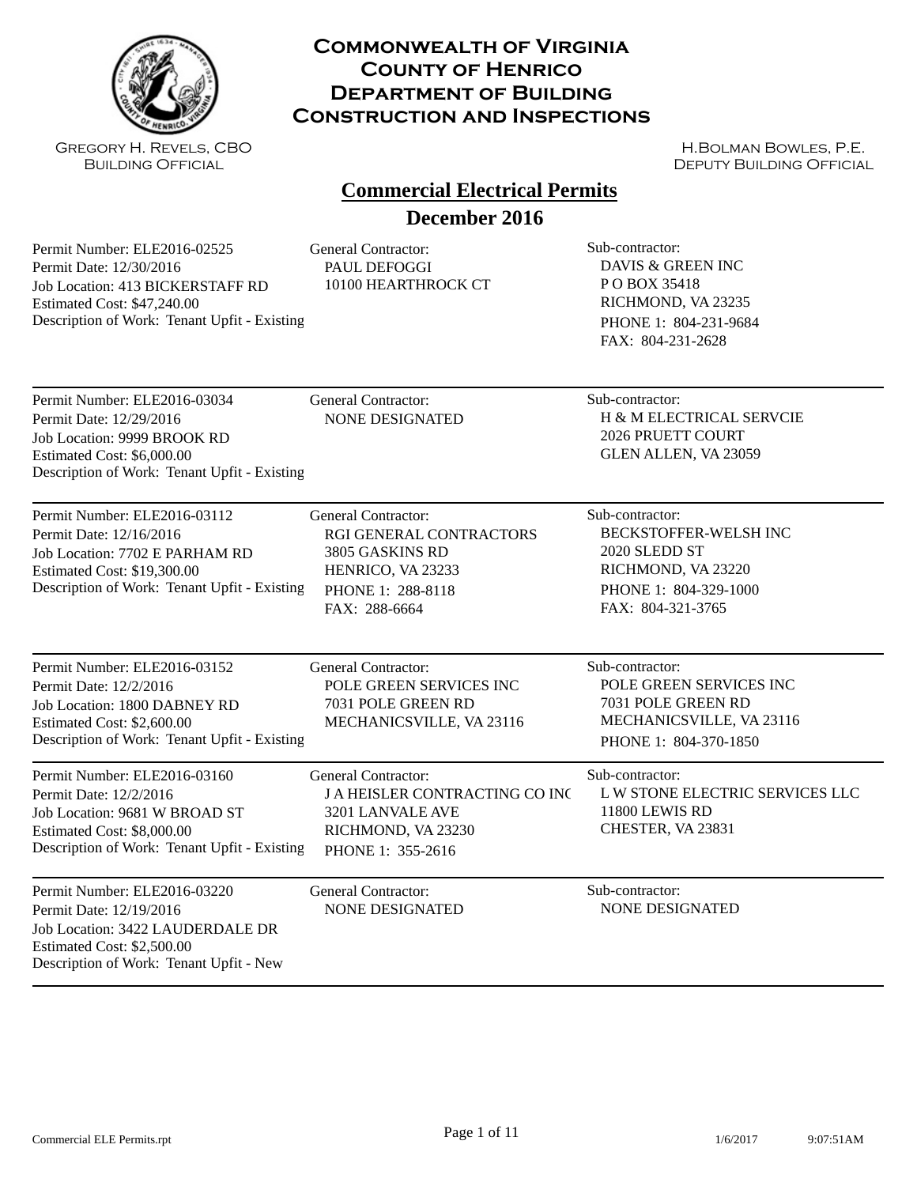

Gregory H. Revels, CBO Building Official

#### **Commonwealth of Virginia County of Henrico Department of Building Construction and Inspections**

H.Bolman Bowles, P.E. DEPUTY BUILDING OFFICIAL

# **Commercial Electrical Permits**

**December 2016**

Permit Number: ELE2016-02525 Permit Date: 12/30/2016 Job Location: 413 BICKERSTAFF RD Estimated Cost: \$47,240.00 Description of Work: Tenant Upfit - Existing

General Contractor: Sub-contractor: PAUL DEFOGGI 10100 HEARTHROCK CT

DAVIS & GREEN INC P O BOX 35418 RICHMOND, VA 23235 PHONE 1: 804-231-9684 FAX: 804-231-2628

2026 PRUETT COURT GLEN ALLEN, VA 23059

Permit Number: ELE2016-03034 Permit Date: 12/29/2016 Job Location: 9999 BROOK RD Estimated Cost: \$6,000.00 Description of Work: Tenant Upfit - Existing General Contractor: Sub-contractor: NONE DESIGNATED H & M ELECTRICAL SERVCIE

Permit Number: ELE2016-03112 Permit Date: 12/16/2016 Job Location: 7702 E PARHAM RD Estimated Cost: \$19,300.00 Description of Work: Tenant Upfit - Existing

General Contractor: Sub-contractor: RGI GENERAL CONTRACTORS 3805 GASKINS RD HENRICO, VA 23233 PHONE 1: 288-8118 FAX: 288-6664

BECKSTOFFER-WELSH INC 2020 SLEDD ST RICHMOND, VA 23220 PHONE 1: 804-329-1000 FAX: 804-321-3765

Permit Number: ELE2016-03152 Permit Date: 12/2/2016 Job Location: 1800 DABNEY RD Estimated Cost: \$2,600.00 Description of Work: Tenant Upfit - Existing

Permit Number: ELE2016-03160 Permit Date: 12/2/2016 Job Location: 9681 W BROAD ST Estimated Cost: \$8,000.00

General Contractor: Sub-contractor: POLE GREEN SERVICES INC 7031 POLE GREEN RD MECHANICSVILLE, VA 23116

J A HEISLER CONTRACTING CO INC

General Contractor: Sub-contractor:

POLE GREEN SERVICES INC 7031 POLE GREEN RD MECHANICSVILLE, VA 23116 PHONE 1: 804-370-1850

L W STONE ELECTRIC SERVICES LLC

Description of Work: Tenant Upfit - Existing

Permit Number: ELE2016-03220 Permit Date: 12/19/2016 Job Location: 3422 LAUDERDALE DR Estimated Cost: \$2,500.00 Description of Work: Tenant Upfit - New

General Contractor: Sub-contractor: NONE DESIGNATED NONE DESIGNATED

3201 LANVALE AVE RICHMOND, VA 23230 PHONE 1: 355-2616

11800 LEWIS RD CHESTER, VA 23831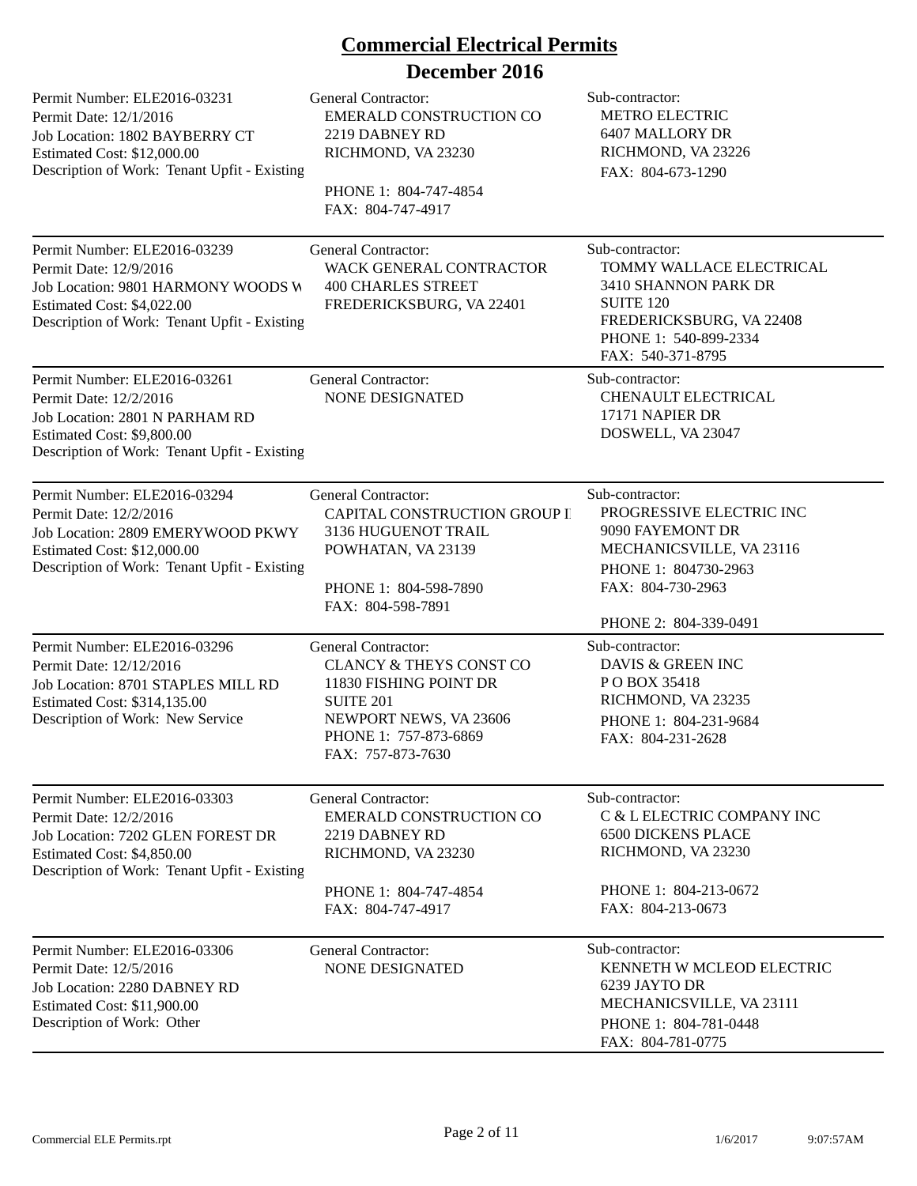# **Commercial Electrical Permits**

## **December 2016**

| Permit Number: ELE2016-03231<br>Permit Date: 12/1/2016<br>Job Location: 1802 BAYBERRY CT<br>Estimated Cost: \$12,000.00<br>Description of Work: Tenant Upfit - Existing    | <b>General Contractor:</b><br><b>EMERALD CONSTRUCTION CO</b><br>2219 DABNEY RD<br>RICHMOND, VA 23230<br>PHONE 1: 804-747-4854<br>FAX: 804-747-4917                                     | Sub-contractor:<br><b>METRO ELECTRIC</b><br>6407 MALLORY DR<br>RICHMOND, VA 23226<br>FAX: 804-673-1290                                                            |
|----------------------------------------------------------------------------------------------------------------------------------------------------------------------------|----------------------------------------------------------------------------------------------------------------------------------------------------------------------------------------|-------------------------------------------------------------------------------------------------------------------------------------------------------------------|
| Permit Number: ELE2016-03239<br>Permit Date: 12/9/2016<br>Job Location: 9801 HARMONY WOODS W<br>Estimated Cost: \$4,022.00<br>Description of Work: Tenant Upfit - Existing | <b>General Contractor:</b><br>WACK GENERAL CONTRACTOR<br><b>400 CHARLES STREET</b><br>FREDERICKSBURG, VA 22401                                                                         | Sub-contractor:<br>TOMMY WALLACE ELECTRICAL<br>3410 SHANNON PARK DR<br><b>SUITE 120</b><br>FREDERICKSBURG, VA 22408<br>PHONE 1: 540-899-2334<br>FAX: 540-371-8795 |
| Permit Number: ELE2016-03261<br>Permit Date: 12/2/2016<br>Job Location: 2801 N PARHAM RD<br>Estimated Cost: \$9,800.00<br>Description of Work: Tenant Upfit - Existing     | <b>General Contractor:</b><br>NONE DESIGNATED                                                                                                                                          | Sub-contractor:<br>CHENAULT ELECTRICAL<br>17171 NAPIER DR<br>DOSWELL, VA 23047                                                                                    |
| Permit Number: ELE2016-03294<br>Permit Date: 12/2/2016<br>Job Location: 2809 EMERYWOOD PKWY<br>Estimated Cost: \$12,000.00<br>Description of Work: Tenant Upfit - Existing | <b>General Contractor:</b><br>CAPITAL CONSTRUCTION GROUP II<br>3136 HUGUENOT TRAIL<br>POWHATAN, VA 23139<br>PHONE 1: 804-598-7890<br>FAX: 804-598-7891                                 | Sub-contractor:<br>PROGRESSIVE ELECTRIC INC<br>9090 FAYEMONT DR<br>MECHANICSVILLE, VA 23116<br>PHONE 1: 804730-2963<br>FAX: 804-730-2963<br>PHONE 2: 804-339-0491 |
| Permit Number: ELE2016-03296<br>Permit Date: 12/12/2016<br>Job Location: 8701 STAPLES MILL RD<br>Estimated Cost: \$314,135.00<br>Description of Work: New Service          | <b>General Contractor:</b><br><b>CLANCY &amp; THEYS CONST CO</b><br>11830 FISHING POINT DR<br><b>SUITE 201</b><br>NEWPORT NEWS, VA 23606<br>PHONE 1: 757-873-6869<br>FAX: 757-873-7630 | Sub-contractor:<br>DAVIS & GREEN INC<br>PO BOX 35418<br>RICHMOND, VA 23235<br>PHONE 1: 804-231-9684<br>FAX: 804-231-2628                                          |
| Permit Number: ELE2016-03303<br>Permit Date: 12/2/2016<br>Job Location: 7202 GLEN FOREST DR<br>Estimated Cost: \$4,850.00<br>Description of Work: Tenant Upfit - Existing  | <b>General Contractor:</b><br><b>EMERALD CONSTRUCTION CO</b><br>2219 DABNEY RD<br>RICHMOND, VA 23230<br>PHONE 1: 804-747-4854<br>FAX: 804-747-4917                                     | Sub-contractor:<br>C & L ELECTRIC COMPANY INC<br><b>6500 DICKENS PLACE</b><br>RICHMOND, VA 23230<br>PHONE 1: 804-213-0672<br>FAX: 804-213-0673                    |
| Permit Number: ELE2016-03306<br>Permit Date: 12/5/2016<br>Job Location: 2280 DABNEY RD<br>Estimated Cost: \$11,900.00<br>Description of Work: Other                        | <b>General Contractor:</b><br><b>NONE DESIGNATED</b>                                                                                                                                   | Sub-contractor:<br><b>KENNETH W MCLEOD ELECTRIC</b><br>6239 JAYTO DR<br>MECHANICSVILLE, VA 23111<br>PHONE 1: 804-781-0448<br>FAX: 804-781-0775                    |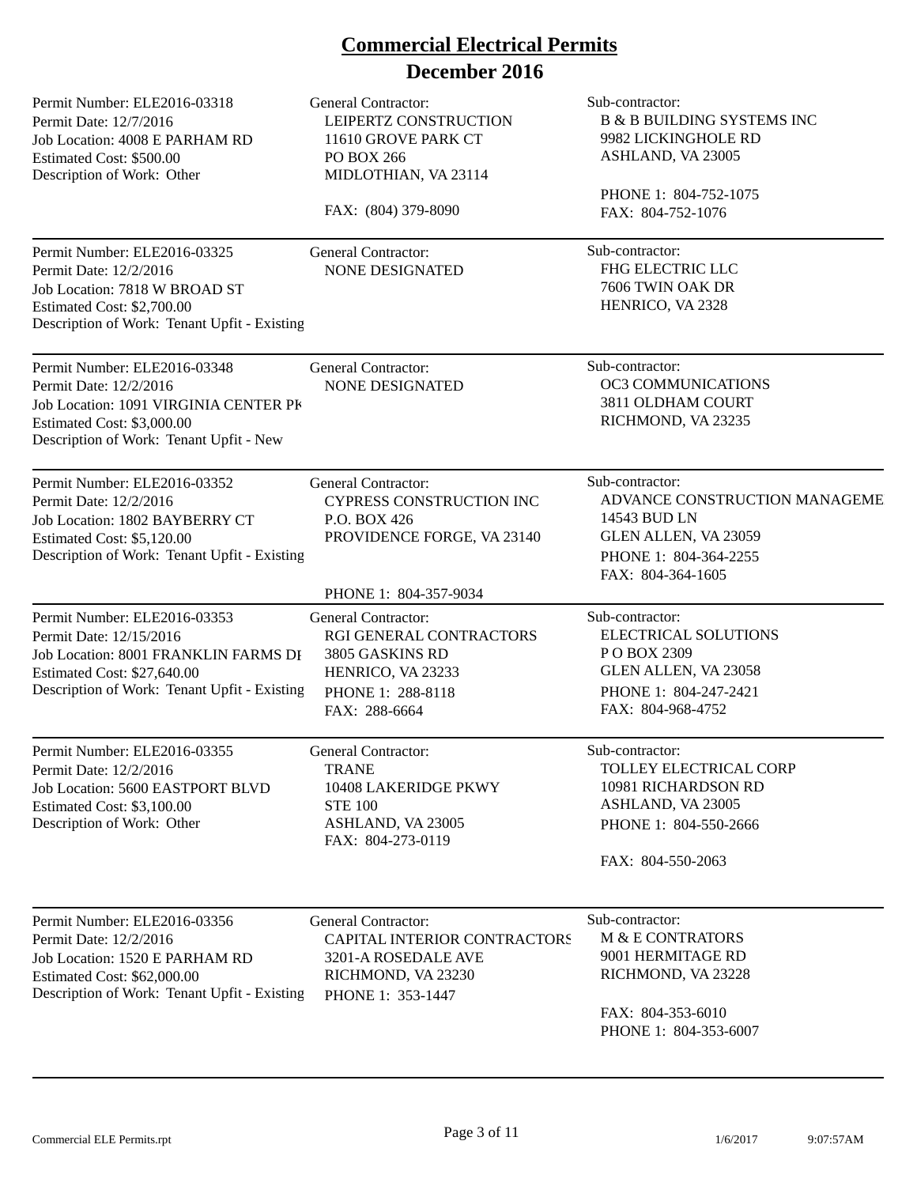| Permit Number: ELE2016-03318<br>Permit Date: 12/7/2016<br>Job Location: 4008 E PARHAM RD<br>Estimated Cost: \$500.00<br>Description of Work: Other                             | <b>General Contractor:</b><br>LEIPERTZ CONSTRUCTION<br>11610 GROVE PARK CT<br>PO BOX 266<br>MIDLOTHIAN, VA 23114                     | Sub-contractor:<br><b>B &amp; B BUILDING SYSTEMS INC</b><br>9982 LICKINGHOLE RD<br>ASHLAND, VA 23005<br>PHONE 1: 804-752-1075              |
|--------------------------------------------------------------------------------------------------------------------------------------------------------------------------------|--------------------------------------------------------------------------------------------------------------------------------------|--------------------------------------------------------------------------------------------------------------------------------------------|
|                                                                                                                                                                                | FAX: (804) 379-8090                                                                                                                  | FAX: 804-752-1076                                                                                                                          |
| Permit Number: ELE2016-03325<br>Permit Date: 12/2/2016<br>Job Location: 7818 W BROAD ST<br>Estimated Cost: \$2,700.00<br>Description of Work: Tenant Upfit - Existing          | <b>General Contractor:</b><br>NONE DESIGNATED                                                                                        | Sub-contractor:<br>FHG ELECTRIC LLC<br>7606 TWIN OAK DR<br>HENRICO, VA 2328                                                                |
| Permit Number: ELE2016-03348<br>Permit Date: 12/2/2016<br>Job Location: 1091 VIRGINIA CENTER PK<br>Estimated Cost: \$3,000.00<br>Description of Work: Tenant Upfit - New       | <b>General Contractor:</b><br>NONE DESIGNATED                                                                                        | Sub-contractor:<br>OC3 COMMUNICATIONS<br>3811 OLDHAM COURT<br>RICHMOND, VA 23235                                                           |
| Permit Number: ELE2016-03352<br>Permit Date: 12/2/2016<br>Job Location: 1802 BAYBERRY CT<br>Estimated Cost: \$5,120.00<br>Description of Work: Tenant Upfit - Existing         | <b>General Contractor:</b><br><b>CYPRESS CONSTRUCTION INC</b><br>P.O. BOX 426<br>PROVIDENCE FORGE, VA 23140<br>PHONE 1: 804-357-9034 | Sub-contractor:<br>ADVANCE CONSTRUCTION MANAGEME<br>14543 BUD LN<br>GLEN ALLEN, VA 23059<br>PHONE 1: 804-364-2255<br>FAX: 804-364-1605     |
| Permit Number: ELE2016-03353<br>Permit Date: 12/15/2016<br>Job Location: 8001 FRANKLIN FARMS DI<br>Estimated Cost: \$27,640.00<br>Description of Work: Tenant Upfit - Existing | General Contractor:<br>RGI GENERAL CONTRACTORS<br>3805 GASKINS RD<br>HENRICO, VA 23233<br>PHONE 1: 288-8118<br>FAX: 288-6664         | Sub-contractor:<br>ELECTRICAL SOLUTIONS<br>PO BOX 2309<br>GLEN ALLEN, VA 23058<br>PHONE 1: 804-247-2421<br>FAX: 804-968-4752               |
| Permit Number: ELE2016-03355<br>Permit Date: 12/2/2016<br>Job Location: 5600 EASTPORT BLVD<br>Estimated Cost: \$3,100.00<br>Description of Work: Other                         | General Contractor:<br><b>TRANE</b><br>10408 LAKERIDGE PKWY<br><b>STE 100</b><br>ASHLAND, VA 23005<br>FAX: 804-273-0119              | Sub-contractor:<br><b>TOLLEY ELECTRICAL CORP</b><br>10981 RICHARDSON RD<br>ASHLAND, VA 23005<br>PHONE 1: 804-550-2666<br>FAX: 804-550-2063 |
| Permit Number: ELE2016-03356<br>Permit Date: 12/2/2016<br>Job Location: 1520 E PARHAM RD<br>Estimated Cost: \$62,000.00<br>Description of Work: Tenant Upfit - Existing        | <b>General Contractor:</b><br>CAPITAL INTERIOR CONTRACTORS<br>3201-A ROSEDALE AVE<br>RICHMOND, VA 23230<br>PHONE 1: 353-1447         | Sub-contractor:<br>M & E CONTRATORS<br>9001 HERMITAGE RD<br>RICHMOND, VA 23228<br>FAX: 804-353-6010<br>PHONE 1: 804-353-6007               |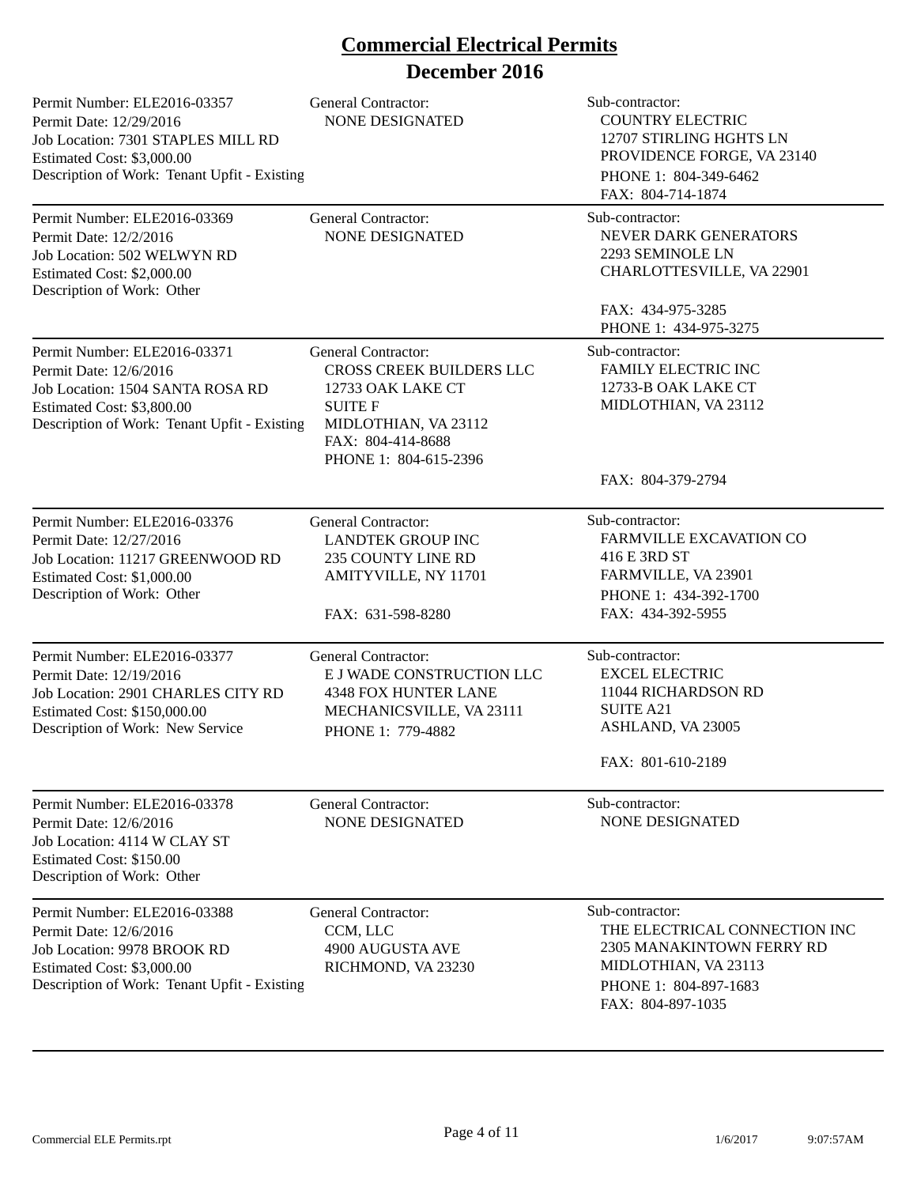| Permit Number: ELE2016-03357<br>Permit Date: 12/29/2016<br>Job Location: 7301 STAPLES MILL RD<br>Estimated Cost: \$3,000.00<br>Description of Work: Tenant Upfit - Existing | General Contractor:<br><b>NONE DESIGNATED</b>                                                                                                                       | Sub-contractor:<br><b>COUNTRY ELECTRIC</b><br>12707 STIRLING HGHTS LN<br>PROVIDENCE FORGE, VA 23140<br>PHONE 1: 804-349-6462<br>FAX: 804-714-1874   |
|-----------------------------------------------------------------------------------------------------------------------------------------------------------------------------|---------------------------------------------------------------------------------------------------------------------------------------------------------------------|-----------------------------------------------------------------------------------------------------------------------------------------------------|
| Permit Number: ELE2016-03369<br>Permit Date: 12/2/2016<br>Job Location: 502 WELWYN RD<br>Estimated Cost: \$2,000.00<br>Description of Work: Other                           | <b>General Contractor:</b><br><b>NONE DESIGNATED</b>                                                                                                                | Sub-contractor:<br>NEVER DARK GENERATORS<br>2293 SEMINOLE LN<br>CHARLOTTESVILLE, VA 22901                                                           |
|                                                                                                                                                                             |                                                                                                                                                                     | FAX: 434-975-3285<br>PHONE 1: 434-975-3275                                                                                                          |
| Permit Number: ELE2016-03371<br>Permit Date: 12/6/2016<br>Job Location: 1504 SANTA ROSA RD<br>Estimated Cost: \$3,800.00<br>Description of Work: Tenant Upfit - Existing    | <b>General Contractor:</b><br>CROSS CREEK BUILDERS LLC<br>12733 OAK LAKE CT<br><b>SUITE F</b><br>MIDLOTHIAN, VA 23112<br>FAX: 804-414-8688<br>PHONE 1: 804-615-2396 | Sub-contractor:<br><b>FAMILY ELECTRIC INC</b><br>12733-B OAK LAKE CT<br>MIDLOTHIAN, VA 23112                                                        |
|                                                                                                                                                                             |                                                                                                                                                                     | FAX: 804-379-2794                                                                                                                                   |
| Permit Number: ELE2016-03376<br>Permit Date: 12/27/2016<br>Job Location: 11217 GREENWOOD RD<br>Estimated Cost: \$1,000.00<br>Description of Work: Other                     | <b>General Contractor:</b><br><b>LANDTEK GROUP INC</b><br>235 COUNTY LINE RD<br>AMITYVILLE, NY 11701<br>FAX: 631-598-8280                                           | Sub-contractor:<br><b>FARMVILLE EXCAVATION CO</b><br>416 E 3RD ST<br>FARMVILLE, VA 23901<br>PHONE 1: 434-392-1700<br>FAX: 434-392-5955              |
| Permit Number: ELE2016-03377<br>Permit Date: 12/19/2016<br>Job Location: 2901 CHARLES CITY RD<br>Estimated Cost: \$150,000.00<br>Description of Work: New Service           | <b>General Contractor:</b><br>E J WADE CONSTRUCTION LLC<br><b>4348 FOX HUNTER LANE</b><br>MECHANICSVILLE, VA 23111<br>PHONE 1: 779-4882                             | Sub-contractor:<br><b>EXCEL ELECTRIC</b><br>11044 RICHARDSON RD<br><b>SUITE A21</b><br>ASHLAND, VA 23005<br>FAX: 801-610-2189                       |
| Permit Number: ELE2016-03378<br>Permit Date: 12/6/2016<br>Job Location: 4114 W CLAY ST<br>Estimated Cost: \$150.00<br>Description of Work: Other                            | <b>General Contractor:</b><br><b>NONE DESIGNATED</b>                                                                                                                | Sub-contractor:<br><b>NONE DESIGNATED</b>                                                                                                           |
| Permit Number: ELE2016-03388<br>Permit Date: 12/6/2016<br>Job Location: 9978 BROOK RD<br>Estimated Cost: \$3,000.00<br>Description of Work: Tenant Upfit - Existing         | <b>General Contractor:</b><br>CCM, LLC<br>4900 AUGUSTA AVE<br>RICHMOND, VA 23230                                                                                    | Sub-contractor:<br>THE ELECTRICAL CONNECTION INC<br>2305 MANAKINTOWN FERRY RD<br>MIDLOTHIAN, VA 23113<br>PHONE 1: 804-897-1683<br>FAX: 804-897-1035 |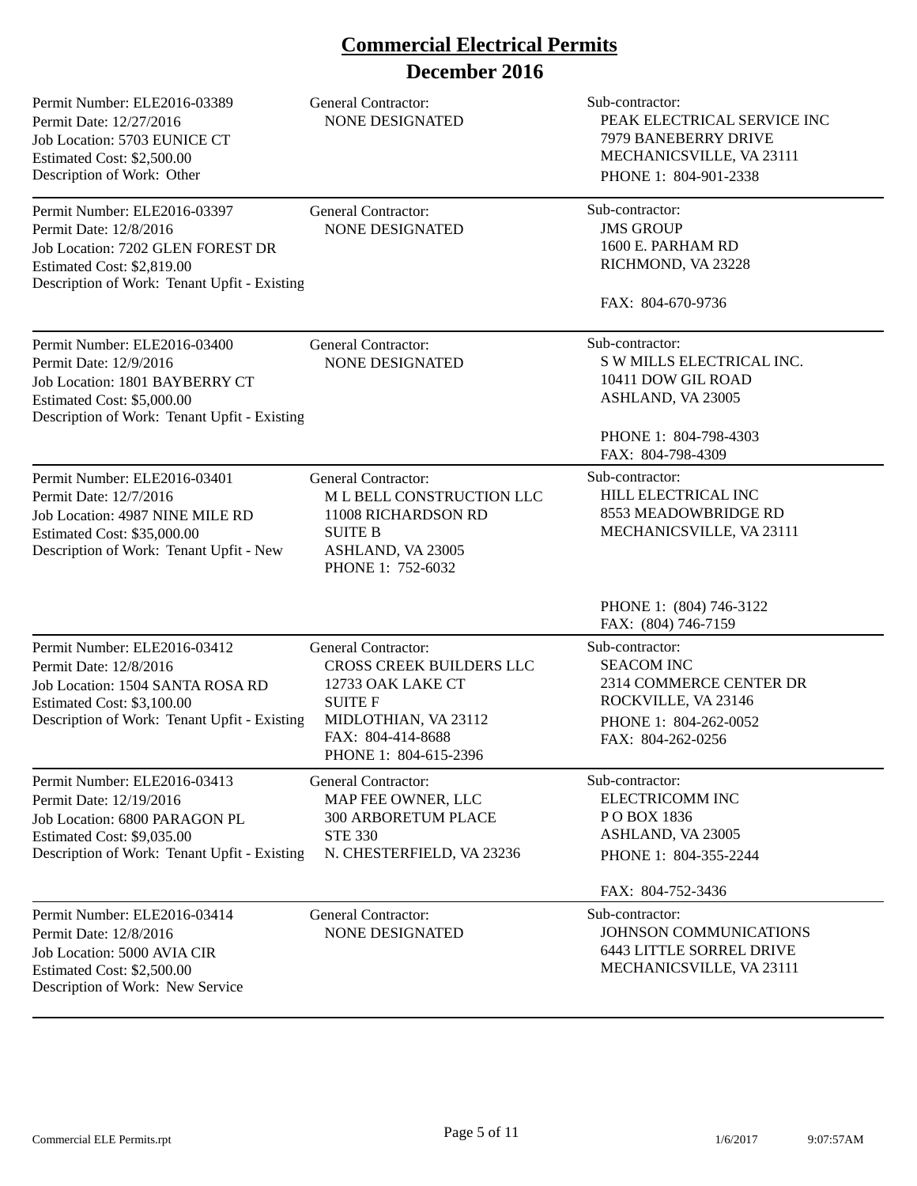| Permit Number: ELE2016-03389<br>Permit Date: 12/27/2016<br>Job Location: 5703 EUNICE CT<br>Estimated Cost: \$2,500.00<br>Description of Work: Other                       | <b>General Contractor:</b><br><b>NONE DESIGNATED</b>                                                                                                                | Sub-contractor:<br>PEAK ELECTRICAL SERVICE INC<br>7979 BANEBERRY DRIVE<br>MECHANICSVILLE, VA 23111<br>PHONE 1: 804-901-2338           |
|---------------------------------------------------------------------------------------------------------------------------------------------------------------------------|---------------------------------------------------------------------------------------------------------------------------------------------------------------------|---------------------------------------------------------------------------------------------------------------------------------------|
| Permit Number: ELE2016-03397<br>Permit Date: 12/8/2016<br>Job Location: 7202 GLEN FOREST DR<br>Estimated Cost: \$2,819.00<br>Description of Work: Tenant Upfit - Existing | <b>General Contractor:</b><br><b>NONE DESIGNATED</b>                                                                                                                | Sub-contractor:<br><b>JMS GROUP</b><br>1600 E. PARHAM RD<br>RICHMOND, VA 23228                                                        |
|                                                                                                                                                                           |                                                                                                                                                                     | FAX: 804-670-9736                                                                                                                     |
| Permit Number: ELE2016-03400<br>Permit Date: 12/9/2016<br>Job Location: 1801 BAYBERRY CT<br>Estimated Cost: \$5,000.00<br>Description of Work: Tenant Upfit - Existing    | General Contractor:<br>NONE DESIGNATED                                                                                                                              | Sub-contractor:<br>S W MILLS ELECTRICAL INC.<br>10411 DOW GIL ROAD<br>ASHLAND, VA 23005<br>PHONE 1: 804-798-4303<br>FAX: 804-798-4309 |
| Permit Number: ELE2016-03401<br>Permit Date: 12/7/2016<br>Job Location: 4987 NINE MILE RD<br>Estimated Cost: \$35,000.00<br>Description of Work: Tenant Upfit - New       | General Contractor:<br>M L BELL CONSTRUCTION LLC<br>11008 RICHARDSON RD<br><b>SUITE B</b><br>ASHLAND, VA 23005<br>PHONE 1: 752-6032                                 | Sub-contractor:<br>HILL ELECTRICAL INC<br>8553 MEADOWBRIDGE RD<br>MECHANICSVILLE, VA 23111                                            |
|                                                                                                                                                                           |                                                                                                                                                                     | PHONE 1: (804) 746-3122<br>FAX: (804) 746-7159                                                                                        |
| Permit Number: ELE2016-03412<br>Permit Date: 12/8/2016<br>Job Location: 1504 SANTA ROSA RD<br>Estimated Cost: \$3,100.00<br>Description of Work: Tenant Upfit - Existing  | <b>General Contractor:</b><br>CROSS CREEK BUILDERS LLC<br>12733 OAK LAKE CT<br><b>SUITE F</b><br>MIDLOTHIAN, VA 23112<br>FAX: 804-414-8688<br>PHONE 1: 804-615-2396 | Sub-contractor:<br><b>SEACOM INC</b><br>2314 COMMERCE CENTER DR<br>ROCKVILLE, VA 23146<br>PHONE 1: 804-262-0052<br>FAX: 804-262-0256  |
| Permit Number: ELE2016-03413<br>Permit Date: 12/19/2016<br>Job Location: 6800 PARAGON PL<br>Estimated Cost: \$9,035.00<br>Description of Work: Tenant Upfit - Existing    | General Contractor:<br>MAP FEE OWNER, LLC<br>300 ARBORETUM PLACE<br><b>STE 330</b><br>N. CHESTERFIELD, VA 23236                                                     | Sub-contractor:<br><b>ELECTRICOMM INC</b><br>PO BOX 1836<br>ASHLAND, VA 23005<br>PHONE 1: 804-355-2244                                |
|                                                                                                                                                                           |                                                                                                                                                                     | FAX: 804-752-3436                                                                                                                     |
| Permit Number: ELE2016-03414<br>Permit Date: 12/8/2016<br>Job Location: 5000 AVIA CIR<br>Estimated Cost: \$2,500.00<br>Description of Work: New Service                   | <b>General Contractor:</b><br>NONE DESIGNATED                                                                                                                       | Sub-contractor:<br>JOHNSON COMMUNICATIONS<br><b>6443 LITTLE SORREL DRIVE</b><br>MECHANICSVILLE, VA 23111                              |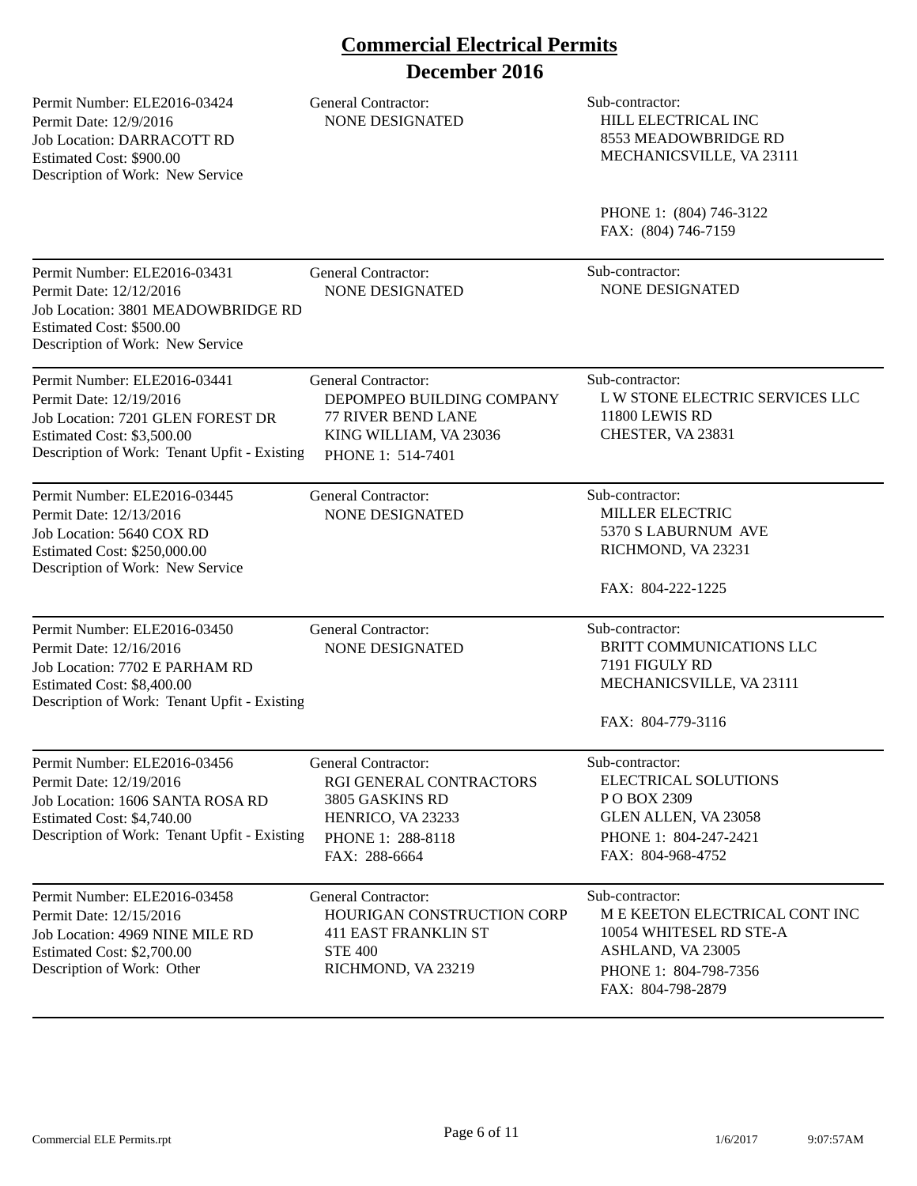Permit Number: ELE2016-03424 Permit Date: 12/9/2016 Job Location: DARRACOTT RD Estimated Cost: \$900.00 Description of Work: New Service General Contractor: Sub-contractor:

NONE DESIGNATED HILL ELECTRICAL INC 8553 MEADOWBRIDGE RD MECHANICSVILLE, VA 23111

> PHONE 1: (804) 746-3122 FAX: (804) 746-7159

| Permit Number: ELE2016-03431<br>Permit Date: 12/12/2016<br>Job Location: 3801 MEADOWBRIDGE RD<br>Estimated Cost: \$500.00<br>Description of Work: New Service              | General Contractor:<br><b>NONE DESIGNATED</b>                                                                                       | Sub-contractor:<br><b>NONE DESIGNATED</b>                                                                                                       |
|----------------------------------------------------------------------------------------------------------------------------------------------------------------------------|-------------------------------------------------------------------------------------------------------------------------------------|-------------------------------------------------------------------------------------------------------------------------------------------------|
| Permit Number: ELE2016-03441<br>Permit Date: 12/19/2016<br>Job Location: 7201 GLEN FOREST DR<br>Estimated Cost: \$3,500.00<br>Description of Work: Tenant Upfit - Existing | <b>General Contractor:</b><br>DEPOMPEO BUILDING COMPANY<br><b>77 RIVER BEND LANE</b><br>KING WILLIAM, VA 23036<br>PHONE 1: 514-7401 | Sub-contractor:<br>L W STONE ELECTRIC SERVICES LLC<br>11800 LEWIS RD<br>CHESTER, VA 23831                                                       |
| Permit Number: ELE2016-03445<br>Permit Date: 12/13/2016<br>Job Location: 5640 COX RD<br>Estimated Cost: \$250,000.00<br>Description of Work: New Service                   | <b>General Contractor:</b><br><b>NONE DESIGNATED</b>                                                                                | Sub-contractor:<br><b>MILLER ELECTRIC</b><br>5370 S LABURNUM AVE<br>RICHMOND, VA 23231<br>FAX: 804-222-1225                                     |
| Permit Number: ELE2016-03450<br>Permit Date: 12/16/2016<br>Job Location: 7702 E PARHAM RD<br>Estimated Cost: \$8,400.00<br>Description of Work: Tenant Upfit - Existing    | <b>General Contractor:</b><br><b>NONE DESIGNATED</b>                                                                                | Sub-contractor:<br>BRITT COMMUNICATIONS LLC<br>7191 FIGULY RD<br>MECHANICSVILLE, VA 23111<br>FAX: 804-779-3116                                  |
| Permit Number: ELE2016-03456<br>Permit Date: 12/19/2016<br>Job Location: 1606 SANTA ROSA RD<br>Estimated Cost: \$4,740.00<br>Description of Work: Tenant Upfit - Existing  | <b>General Contractor:</b><br>RGI GENERAL CONTRACTORS<br>3805 GASKINS RD<br>HENRICO, VA 23233<br>PHONE 1: 288-8118<br>FAX: 288-6664 | Sub-contractor:<br>ELECTRICAL SOLUTIONS<br>PO BOX 2309<br>GLEN ALLEN, VA 23058<br>PHONE 1: 804-247-2421<br>FAX: 804-968-4752                    |
| Permit Number: ELE2016-03458<br>Permit Date: 12/15/2016<br>Job Location: 4969 NINE MILE RD<br>Estimated Cost: \$2,700.00<br>Description of Work: Other                     | General Contractor:<br>HOURIGAN CONSTRUCTION CORP<br><b>411 EAST FRANKLIN ST</b><br><b>STE 400</b><br>RICHMOND, VA 23219            | Sub-contractor:<br>M E KEETON ELECTRICAL CONT INC<br>10054 WHITESEL RD STE-A<br>ASHLAND, VA 23005<br>PHONE 1: 804-798-7356<br>FAX: 804-798-2879 |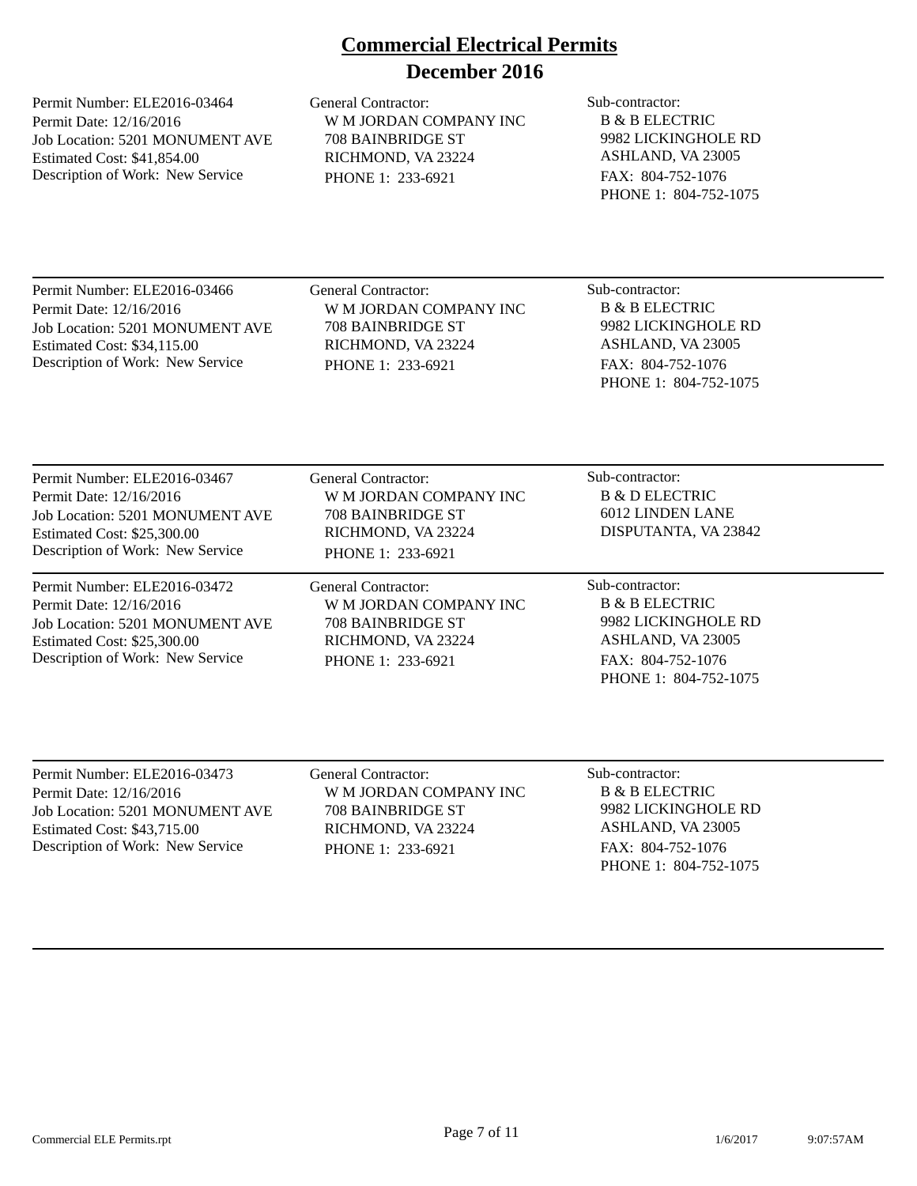Permit Number: ELE2016-03464 Permit Date: 12/16/2016 Job Location: 5201 MONUMENT AVE Estimated Cost: \$41,854.00 Description of Work: New Service

General Contractor: Sub-contractor: W M JORDAN COMPANY INC 708 BAINBRIDGE ST RICHMOND, VA 23224 PHONE 1: 233-6921

B & B ELECTRIC 9982 LICKINGHOLE RD ASHLAND, VA 23005 FAX: 804-752-1076 PHONE 1: 804-752-1075

Permit Number: ELE2016-03466 Permit Date: 12/16/2016 Job Location: 5201 MONUMENT AVE Estimated Cost: \$34,115.00 Description of Work: New Service

General Contractor: Sub-contractor: W M JORDAN COMPANY INC 708 BAINBRIDGE ST RICHMOND, VA 23224 PHONE 1: 233-6921

B & B ELECTRIC 9982 LICKINGHOLE RD ASHLAND, VA 23005 FAX: 804-752-1076 PHONE 1: 804-752-1075

Permit Number: ELE2016-03467 Permit Date: 12/16/2016 Job Location: 5201 MONUMENT AVE Estimated Cost: \$25,300.00 Description of Work: New Service

Permit Number: ELE2016-03472 Permit Date: 12/16/2016 Job Location: 5201 MONUMENT AVE Estimated Cost: \$25,300.00 Description of Work: New Service

General Contractor: Sub-contractor: W M JORDAN COMPANY INC 708 BAINBRIDGE ST RICHMOND, VA 23224 PHONE 1: 233-6921

General Contractor: Sub-contractor: W M JORDAN COMPANY INC 708 BAINBRIDGE ST RICHMOND, VA 23224 PHONE 1: 233-6921

B & D ELECTRIC 6012 LINDEN LANE DISPUTANTA, VA 23842

B & B ELECTRIC 9982 LICKINGHOLE RD ASHLAND, VA 23005 FAX: 804-752-1076 PHONE 1: 804-752-1075

Permit Number: ELE2016-03473 Permit Date: 12/16/2016 Job Location: 5201 MONUMENT AVE Estimated Cost: \$43,715.00 Description of Work: New Service

General Contractor: Sub-contractor: W M JORDAN COMPANY INC 708 BAINBRIDGE ST RICHMOND, VA 23224 PHONE 1: 233-6921

B & B ELECTRIC 9982 LICKINGHOLE RD ASHLAND, VA 23005 FAX: 804-752-1076 PHONE 1: 804-752-1075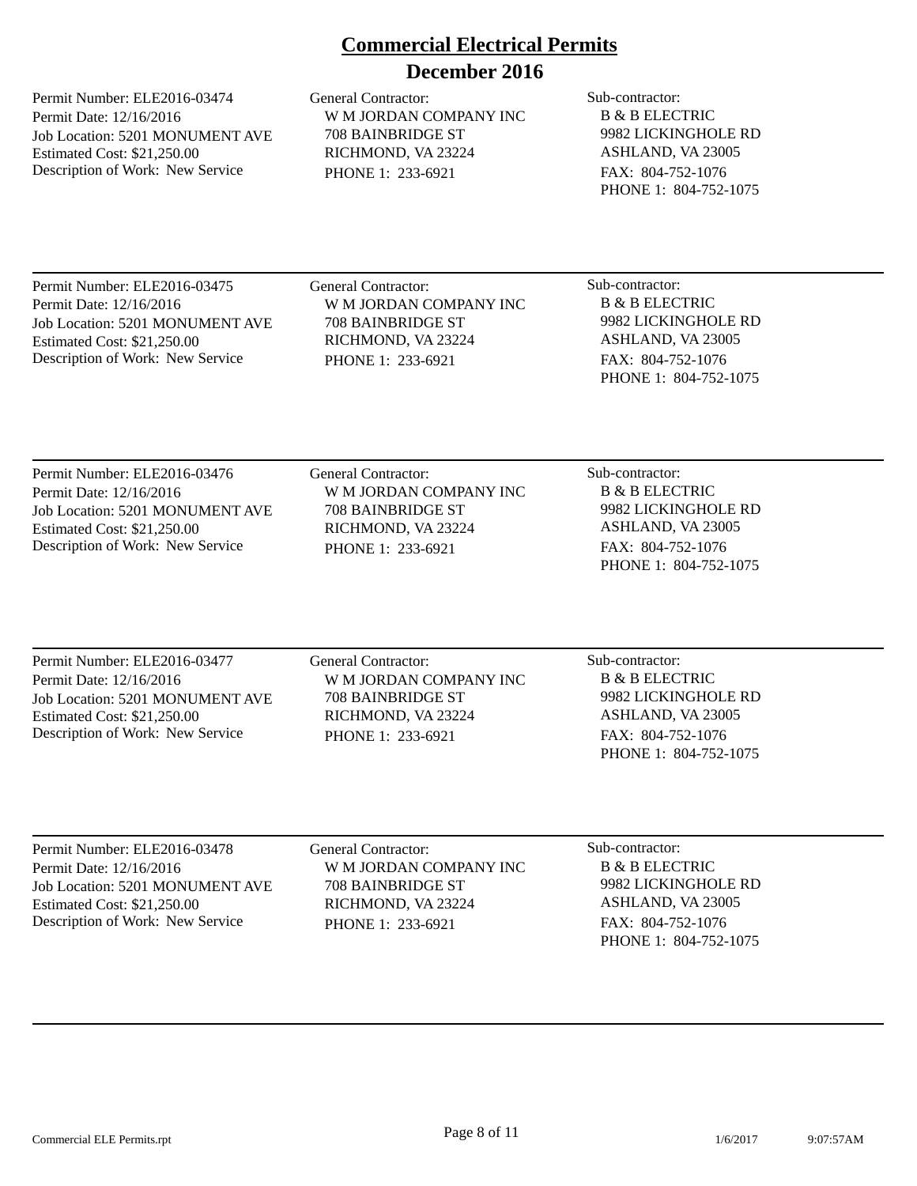Permit Number: ELE2016-03474 Permit Date: 12/16/2016 Job Location: 5201 MONUMENT AVE Estimated Cost: \$21,250.00 Description of Work: New Service

General Contractor: Sub-contractor: W M JORDAN COMPANY INC 708 BAINBRIDGE ST RICHMOND, VA 23224 PHONE 1: 233-6921

B & B ELECTRIC 9982 LICKINGHOLE RD ASHLAND, VA 23005 FAX: 804-752-1076 PHONE 1: 804-752-1075

Permit Number: ELE2016-03475 Permit Date: 12/16/2016 Job Location: 5201 MONUMENT AVE Estimated Cost: \$21,250.00 Description of Work: New Service

General Contractor: Sub-contractor: W M JORDAN COMPANY INC 708 BAINBRIDGE ST RICHMOND, VA 23224 PHONE 1: 233-6921

B & B ELECTRIC 9982 LICKINGHOLE RD ASHLAND, VA 23005 FAX: 804-752-1076 PHONE 1: 804-752-1075

Permit Number: ELE2016-03476 Permit Date: 12/16/2016 Job Location: 5201 MONUMENT AVE Estimated Cost: \$21,250.00 Description of Work: New Service

General Contractor: Sub-contractor: W M JORDAN COMPANY INC 708 BAINBRIDGE ST RICHMOND, VA 23224 PHONE 1: 233-6921

B & B ELECTRIC 9982 LICKINGHOLE RD ASHLAND, VA 23005 FAX: 804-752-1076 PHONE 1: 804-752-1075

Permit Number: ELE2016-03477 Permit Date: 12/16/2016 Job Location: 5201 MONUMENT AVE Estimated Cost: \$21,250.00 Description of Work: New Service

General Contractor: Sub-contractor: W M JORDAN COMPANY INC 708 BAINBRIDGE ST RICHMOND, VA 23224 PHONE 1: 233-6921

B & B ELECTRIC 9982 LICKINGHOLE RD ASHLAND, VA 23005 FAX: 804-752-1076 PHONE 1: 804-752-1075

Permit Number: ELE2016-03478 Permit Date: 12/16/2016 Job Location: 5201 MONUMENT AVE Estimated Cost: \$21,250.00 Description of Work: New Service

General Contractor: Sub-contractor: W M JORDAN COMPANY INC 708 BAINBRIDGE ST RICHMOND, VA 23224 PHONE 1: 233-6921

B & B ELECTRIC 9982 LICKINGHOLE RD ASHLAND, VA 23005 FAX: 804-752-1076 PHONE 1: 804-752-1075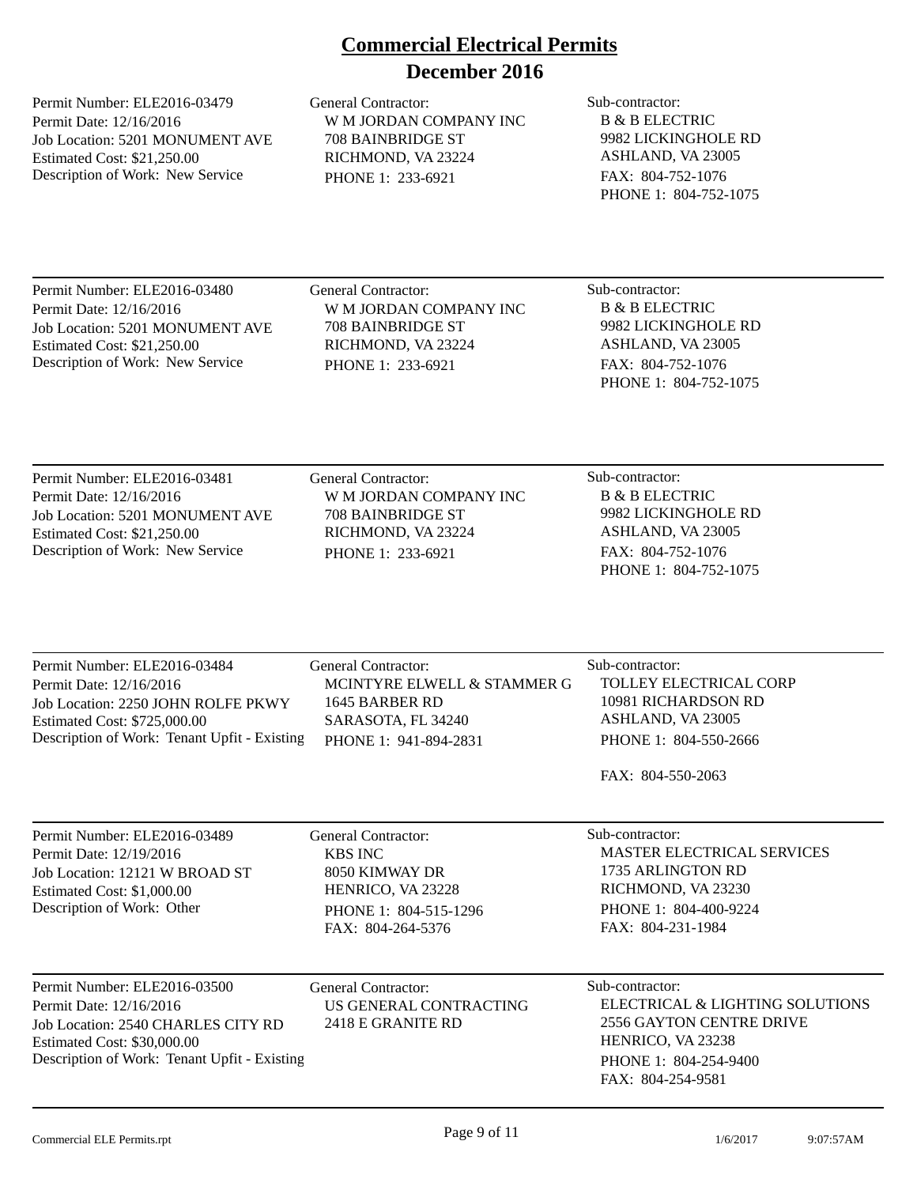Permit Number: ELE2016-03479 Permit Date: 12/16/2016 Job Location: 5201 MONUMENT AVE Estimated Cost: \$21,250.00 Description of Work: New Service

General Contractor: Sub-contractor: W M JORDAN COMPANY INC 708 BAINBRIDGE ST RICHMOND, VA 23224 PHONE 1: 233-6921

B & B ELECTRIC 9982 LICKINGHOLE RD ASHLAND, VA 23005 FAX: 804-752-1076 PHONE 1: 804-752-1075

Permit Number: ELE2016-03480 Permit Date: 12/16/2016 Job Location: 5201 MONUMENT AVE Estimated Cost: \$21,250.00 Description of Work: New Service

General Contractor: Sub-contractor: W M JORDAN COMPANY INC 708 BAINBRIDGE ST RICHMOND, VA 23224 PHONE 1: 233-6921

B & B ELECTRIC 9982 LICKINGHOLE RD ASHLAND, VA 23005 FAX: 804-752-1076 PHONE 1: 804-752-1075

Permit Number: ELE2016-03481 Permit Date: 12/16/2016 Job Location: 5201 MONUMENT AVE Estimated Cost: \$21,250.00 Description of Work: New Service

General Contractor: Sub-contractor: W M JORDAN COMPANY INC 708 BAINBRIDGE ST RICHMOND, VA 23224 PHONE 1: 233-6921

B & B ELECTRIC 9982 LICKINGHOLE RD ASHLAND, VA 23005 FAX: 804-752-1076 PHONE 1: 804-752-1075

Permit Number: ELE2016-03484 Permit Date: 12/16/2016 Job Location: 2250 JOHN ROLFE PKWY Estimated Cost: \$725,000.00 Description of Work: Tenant Upfit - Existing General Contractor: Sub-contractor: MCINTYRE ELWELL & STAMMER G 1645 BARBER RD SARASOTA, FL 34240 PHONE 1: 941-894-2831 TOLLEY ELECTRICAL CORP 10981 RICHARDSON RD ASHLAND, VA 23005 PHONE 1: 804-550-2666 FAX: 804-550-2063

Permit Number: ELE2016-03489 Permit Date: 12/19/2016 Job Location: 12121 W BROAD ST Estimated Cost: \$1,000.00 Description of Work: Other

General Contractor: Sub-contractor: KBS INC 8050 KIMWAY DR HENRICO, VA 23228 PHONE 1: 804-515-1296 FAX: 804-264-5376

MASTER ELECTRICAL SERVICES 1735 ARLINGTON RD RICHMOND, VA 23230 PHONE 1: 804-400-9224 FAX: 804-231-1984

Permit Number: ELE2016-03500 Permit Date: 12/16/2016 Job Location: 2540 CHARLES CITY RD Estimated Cost: \$30,000.00 Description of Work: Tenant Upfit - Existing

General Contractor: Sub-contractor: US GENERAL CONTRACTING 2418 E GRANITE RD

ELECTRICAL & LIGHTING SOLUTIONS 2556 GAYTON CENTRE DRIVE HENRICO, VA 23238 PHONE 1: 804-254-9400 FAX: 804-254-9581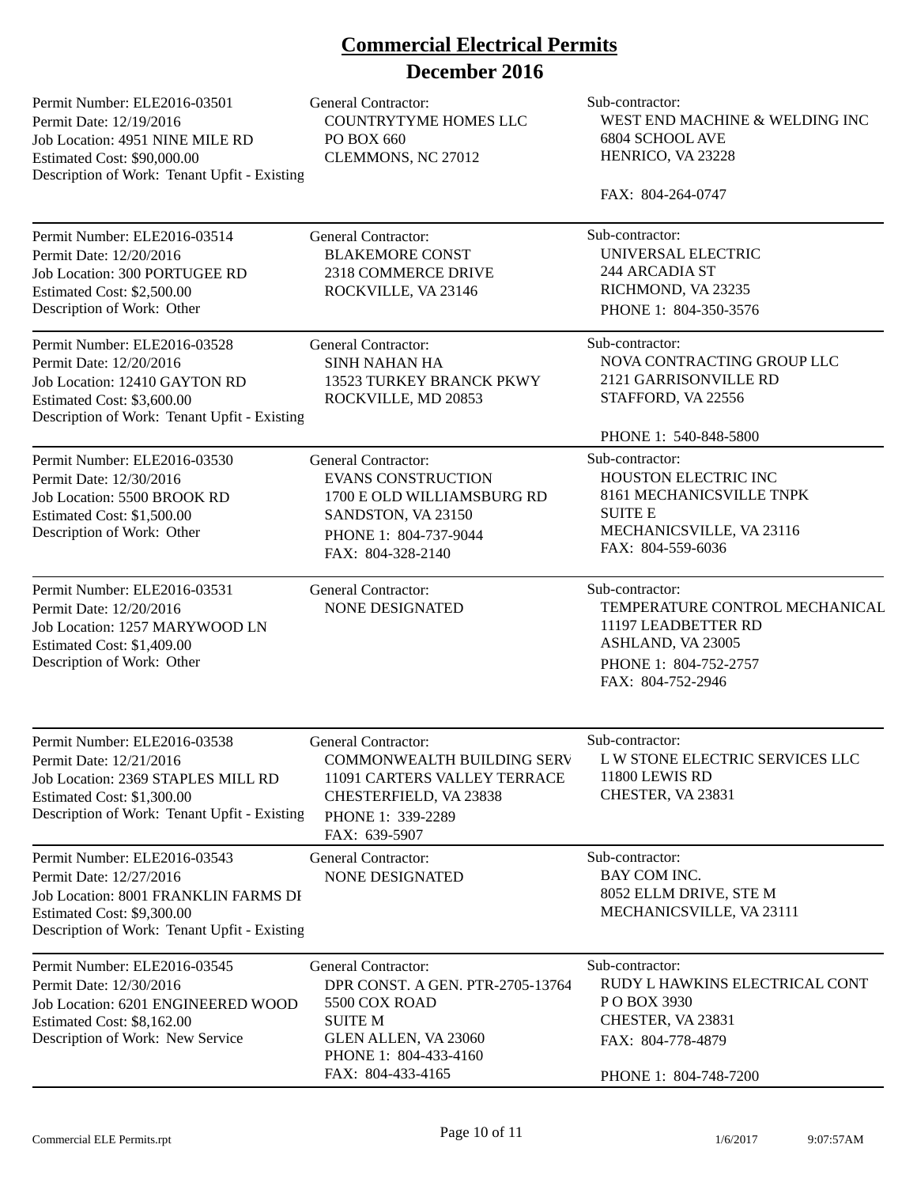| Permit Number: ELE2016-03501<br>Permit Date: 12/19/2016<br>Job Location: 4951 NINE MILE RD<br>Estimated Cost: \$90,000.00<br>Description of Work: Tenant Upfit - Existing     | <b>General Contractor:</b><br><b>COUNTRYTYME HOMES LLC</b><br>PO BOX 660<br>CLEMMONS, NC 27012                                                                   | Sub-contractor:<br>WEST END MACHINE & WELDING INC<br>6804 SCHOOL AVE<br>HENRICO, VA 23228<br>FAX: 804-264-0747                                                  |
|-------------------------------------------------------------------------------------------------------------------------------------------------------------------------------|------------------------------------------------------------------------------------------------------------------------------------------------------------------|-----------------------------------------------------------------------------------------------------------------------------------------------------------------|
| Permit Number: ELE2016-03514<br>Permit Date: 12/20/2016<br>Job Location: 300 PORTUGEE RD<br>Estimated Cost: \$2,500.00<br>Description of Work: Other                          | <b>General Contractor:</b><br><b>BLAKEMORE CONST</b><br>2318 COMMERCE DRIVE<br>ROCKVILLE, VA 23146                                                               | Sub-contractor:<br>UNIVERSAL ELECTRIC<br>244 ARCADIA ST<br>RICHMOND, VA 23235<br>PHONE 1: 804-350-3576                                                          |
| Permit Number: ELE2016-03528<br>Permit Date: 12/20/2016<br>Job Location: 12410 GAYTON RD<br>Estimated Cost: \$3,600.00<br>Description of Work: Tenant Upfit - Existing        | <b>General Contractor:</b><br><b>SINH NAHAN HA</b><br>13523 TURKEY BRANCK PKWY<br>ROCKVILLE, MD 20853                                                            | Sub-contractor:<br>NOVA CONTRACTING GROUP LLC<br>2121 GARRISONVILLE RD<br>STAFFORD, VA 22556                                                                    |
| Permit Number: ELE2016-03530<br>Permit Date: 12/30/2016<br>Job Location: 5500 BROOK RD<br>Estimated Cost: \$1,500.00<br>Description of Work: Other                            | <b>General Contractor:</b><br><b>EVANS CONSTRUCTION</b><br>1700 E OLD WILLIAMSBURG RD<br>SANDSTON, VA 23150<br>PHONE 1: 804-737-9044<br>FAX: 804-328-2140        | PHONE 1: 540-848-5800<br>Sub-contractor:<br>HOUSTON ELECTRIC INC<br>8161 MECHANICSVILLE TNPK<br><b>SUITE E</b><br>MECHANICSVILLE, VA 23116<br>FAX: 804-559-6036 |
| Permit Number: ELE2016-03531<br>Permit Date: 12/20/2016<br>Job Location: 1257 MARYWOOD LN<br>Estimated Cost: \$1,409.00<br>Description of Work: Other                         | <b>General Contractor:</b><br><b>NONE DESIGNATED</b>                                                                                                             | Sub-contractor:<br>TEMPERATURE CONTROL MECHANICAL<br>11197 LEADBETTER RD<br>ASHLAND, VA 23005<br>PHONE 1: 804-752-2757<br>FAX: 804-752-2946                     |
| Permit Number: ELE2016-03538<br>Permit Date: 12/21/2016<br>Job Location: 2369 STAPLES MILL RD<br>Estimated Cost: \$1,300.00<br>Description of Work: Tenant Upfit - Existing   | General Contractor:<br><b>COMMONWEALTH BUILDING SERV</b><br>11091 CARTERS VALLEY TERRACE<br>CHESTERFIELD, VA 23838<br>PHONE 1: 339-2289<br>FAX: 639-5907         | Sub-contractor:<br>L W STONE ELECTRIC SERVICES LLC<br>11800 LEWIS RD<br>CHESTER, VA 23831                                                                       |
| Permit Number: ELE2016-03543<br>Permit Date: 12/27/2016<br>Job Location: 8001 FRANKLIN FARMS DI<br>Estimated Cost: \$9,300.00<br>Description of Work: Tenant Upfit - Existing | General Contractor:<br>NONE DESIGNATED                                                                                                                           | Sub-contractor:<br>BAY COM INC.<br>8052 ELLM DRIVE, STE M<br>MECHANICSVILLE, VA 23111                                                                           |
| Permit Number: ELE2016-03545<br>Permit Date: 12/30/2016<br>Job Location: 6201 ENGINEERED WOOD<br>Estimated Cost: \$8,162.00<br>Description of Work: New Service               | General Contractor:<br>DPR CONST. A GEN. PTR-2705-13764<br>5500 COX ROAD<br><b>SUITE M</b><br>GLEN ALLEN, VA 23060<br>PHONE 1: 804-433-4160<br>FAX: 804-433-4165 | Sub-contractor:<br>RUDY L HAWKINS ELECTRICAL CONT<br>PO BOX 3930<br>CHESTER, VA 23831<br>FAX: 804-778-4879<br>PHONE 1: 804-748-7200                             |